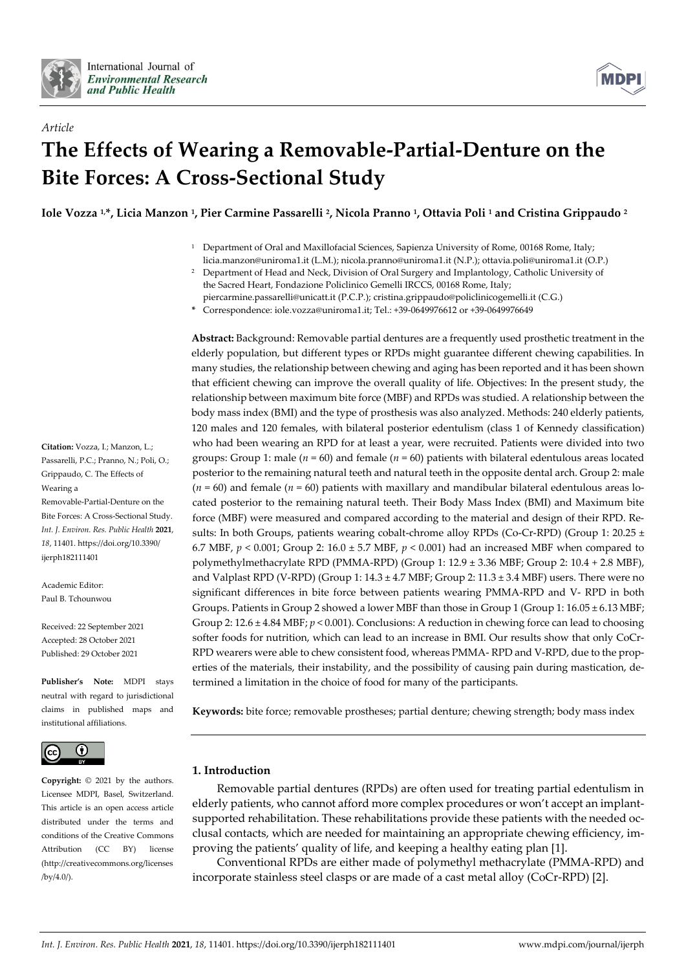

*Article*



# **The Effects of Wearing a Removable-Partial-Denture on the Bite Forces: A Cross-Sectional Study**

**Iole Vozza 1,\*, Licia Manzon <sup>1</sup> , Pier Carmine Passarelli <sup>2</sup> , Nicola Pranno <sup>1</sup> , Ottavia Poli <sup>1</sup> and Cristina Grippaudo <sup>2</sup>**

- <sup>1</sup> Department of Oral and Maxillofacial Sciences, Sapienza University of Rome, 00168 Rome, Italy; licia.manzon@uniroma1.it (L.M.); nicola.pranno@uniroma1.it (N.P.); ottavia.poli@uniroma1.it (O.P.)
- <sup>2</sup> Department of Head and Neck, Division of Oral Surgery and Implantology, Catholic University of the Sacred Heart, Fondazione Policlinico Gemelli IRCCS, 00168 Rome, Italy;
- piercarmine.passarelli@unicatt.it (P.C.P.); cristina.grippaudo@policlinicogemelli.it (C.G.) **\*** Correspondence: iole.vozza@uniroma1.it; Tel.: +39-0649976612 or +39-0649976649

**Abstract:** Background: Removable partial dentures are a frequently used prosthetic treatment in the elderly population, but different types or RPDs might guarantee different chewing capabilities. In many studies, the relationship between chewing and aging has been reported and it has been shown that efficient chewing can improve the overall quality of life. Objectives: In the present study, the relationship between maximum bite force (MBF) and RPDs was studied. A relationship between the body mass index (BMI) and the type of prosthesis was also analyzed. Methods: 240 elderly patients, 120 males and 120 females, with bilateral posterior edentulism (class 1 of Kennedy classification) who had been wearing an RPD for at least a year, were recruited. Patients were divided into two groups: Group 1: male (*n* = 60) and female (*n* = 60) patients with bilateral edentulous areas located posterior to the remaining natural teeth and natural teeth in the opposite dental arch. Group 2: male  $(n = 60)$  and female  $(n = 60)$  patients with maxillary and mandibular bilateral edentulous areas located posterior to the remaining natural teeth. Their Body Mass Index (BMI) and Maximum bite force (MBF) were measured and compared according to the material and design of their RPD. Results: In both Groups, patients wearing cobalt-chrome alloy RPDs (Co-Cr-RPD) (Group 1: 20.25 ± 6.7 MBF, *p* < 0.001; Group 2: 16.0 ± 5.7 MBF, *p* < 0.001) had an increased MBF when compared to polymethylmethacrylate RPD (PMMA-RPD) (Group 1: 12.9 ± 3.36 MBF; Group 2: 10.4 + 2.8 MBF), and Valplast RPD (V-RPD) (Group 1:  $14.3 \pm 4.7$  MBF; Group 2:  $11.3 \pm 3.4$  MBF) users. There were no significant differences in bite force between patients wearing PMMA-RPD and V- RPD in both Groups. Patients in Group 2 showed a lower MBF than those in Group 1 (Group 1: 16.05 ± 6.13 MBF; Group 2: 12.6 ± 4.84 MBF; *p* < 0.001). Conclusions: A reduction in chewing force can lead to choosing softer foods for nutrition, which can lead to an increase in BMI. Our results show that only CoCr-RPD wearers were able to chew consistent food, whereas PMMA- RPD and V-RPD, due to the properties of the materials, their instability, and the possibility of causing pain during mastication, determined a limitation in the choice of food for many of the participants.

**Keywords:** bite force; removable prostheses; partial denture; chewing strength; body mass index

# **1. Introduction**

Removable partial dentures (RPDs) are often used for treating partial edentulism in elderly patients, who cannot afford more complex procedures or won't accept an implantsupported rehabilitation. These rehabilitations provide these patients with the needed occlusal contacts, which are needed for maintaining an appropriate chewing efficiency, improving the patients' quality of life, and keeping a healthy eating plan [1].

Conventional RPDs are either made of polymethyl methacrylate (PMMA-RPD) and incorporate stainless steel clasps or are made of a cast metal alloy (CoCr-RPD) [2].

**Citation:** Vozza, I.; Manzon, L.; Passarelli, P.C.; Pranno, N.; Poli, O.; Grippaudo, C. The Effects of Wearing a Removable-Partial-Denture on the Bite Forces: A Cross-Sectional Study. *Int. J. Environ. Res. Public Health* **2021**, *18*, 11401. https://doi.org/10.3390/ ijerph182111401

Academic Editor: Paul B. Tchounwou

Received: 22 September 2021 Accepted: 28 October 2021 Published: 29 October 2021

**Publisher's Note:** MDPI stays neutral with regard to jurisdictional claims in published maps and institutional affiliations.



**Copyright:** © 2021 by the authors. Licensee MDPI, Basel, Switzerland. This article is an open access article distributed under the terms and conditions of the Creative Commons Attribution (CC BY) license (http://creativecommons.org/licenses /by/4.0/).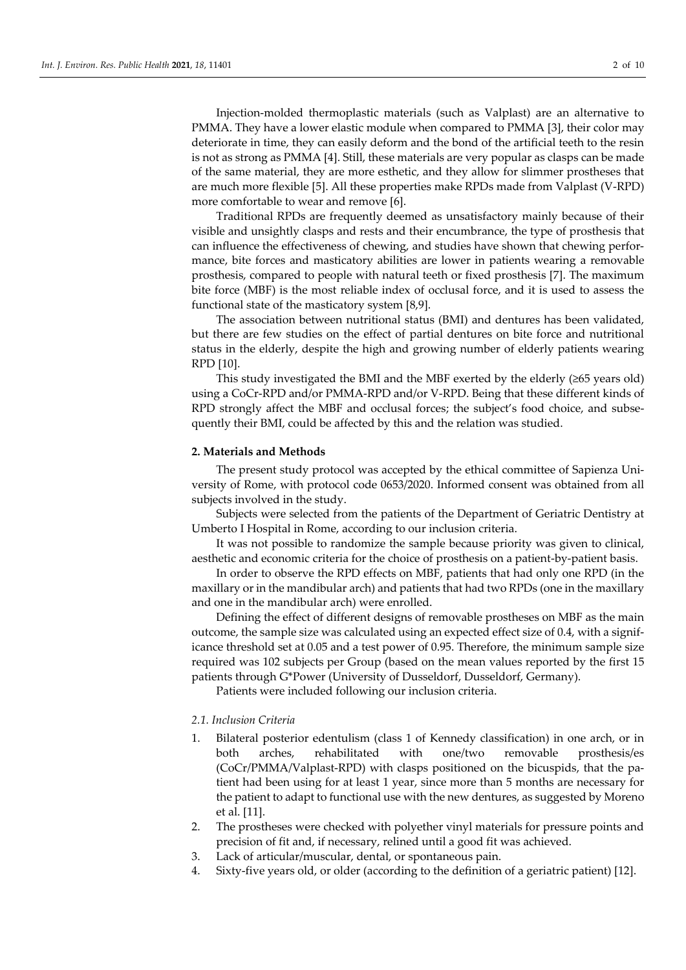Injection-molded thermoplastic materials (such as Valplast) are an alternative to PMMA. They have a lower elastic module when compared to PMMA [3], their color may deteriorate in time, they can easily deform and the bond of the artificial teeth to the resin is not as strong as PMMA [4]. Still, these materials are very popular as clasps can be made of the same material, they are more esthetic, and they allow for slimmer prostheses that are much more flexible [5]. All these properties make RPDs made from Valplast (V-RPD) more comfortable to wear and remove [6].

Traditional RPDs are frequently deemed as unsatisfactory mainly because of their visible and unsightly clasps and rests and their encumbrance, the type of prosthesis that can influence the effectiveness of chewing, and studies have shown that chewing performance, bite forces and masticatory abilities are lower in patients wearing a removable prosthesis, compared to people with natural teeth or fixed prosthesis [7]. The maximum bite force (MBF) is the most reliable index of occlusal force, and it is used to assess the functional state of the masticatory system [8,9].

The association between nutritional status (BMI) and dentures has been validated, but there are few studies on the effect of partial dentures on bite force and nutritional status in the elderly, despite the high and growing number of elderly patients wearing RPD [10].

This study investigated the BMI and the MBF exerted by the elderly (≥65 years old) using a CoCr-RPD and/or PMMA-RPD and/or V-RPD. Being that these different kinds of RPD strongly affect the MBF and occlusal forces; the subject's food choice, and subsequently their BMI, could be affected by this and the relation was studied.

### **2. Materials and Methods**

The present study protocol was accepted by the ethical committee of Sapienza University of Rome, with protocol code 0653/2020. Informed consent was obtained from all subjects involved in the study.

Subjects were selected from the patients of the Department of Geriatric Dentistry at Umberto I Hospital in Rome, according to our inclusion criteria.

It was not possible to randomize the sample because priority was given to clinical, aesthetic and economic criteria for the choice of prosthesis on a patient-by-patient basis.

In order to observe the RPD effects on MBF, patients that had only one RPD (in the maxillary or in the mandibular arch) and patients that had two RPDs (one in the maxillary and one in the mandibular arch) were enrolled.

Defining the effect of different designs of removable prostheses on MBF as the main outcome, the sample size was calculated using an expected effect size of 0.4, with a significance threshold set at 0.05 and a test power of 0.95. Therefore, the minimum sample size required was 102 subjects per Group (based on the mean values reported by the first 15 patients through G\*Power (University of Dusseldorf, Dusseldorf, Germany).

Patients were included following our inclusion criteria.

#### *2.1. Inclusion Criteria*

- 1. Bilateral posterior edentulism (class 1 of Kennedy classification) in one arch, or in both arches, rehabilitated with one/two removable prosthesis/es (CoCr/PMMA/Valplast-RPD) with clasps positioned on the bicuspids, that the patient had been using for at least 1 year, since more than 5 months are necessary for the patient to adapt to functional use with the new dentures, as suggested by Moreno et al. [11].
- 2. The prostheses were checked with polyether vinyl materials for pressure points and precision of fit and, if necessary, relined until a good fit was achieved.
- 3. Lack of articular/muscular, dental, or spontaneous pain.
- 4. Sixty-five years old, or older (according to the definition of a geriatric patient) [12].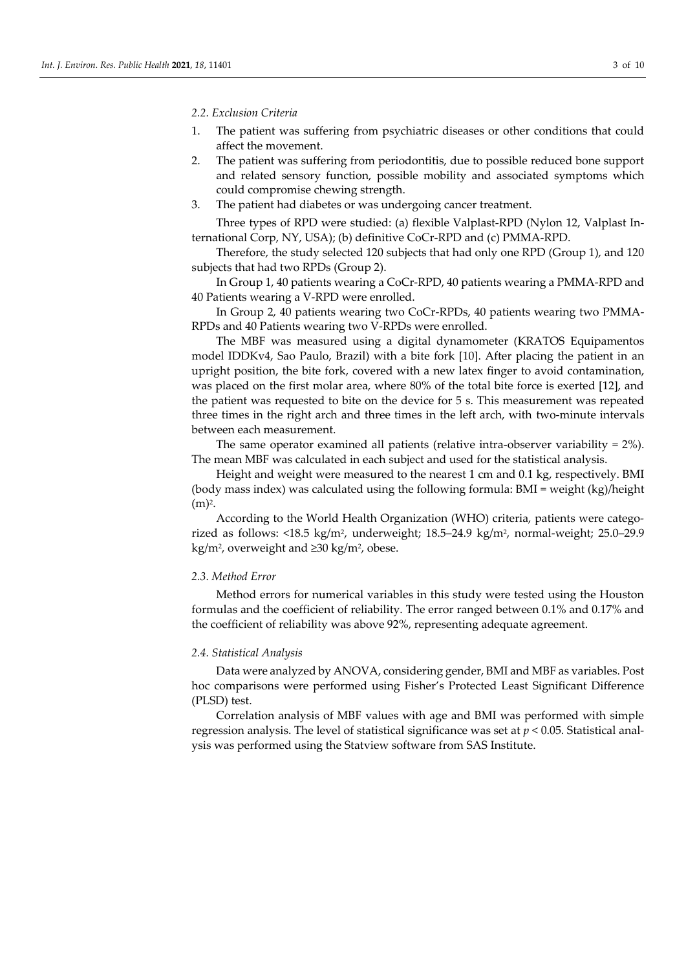#### *2.2. Exclusion Criteria*

- 1. The patient was suffering from psychiatric diseases or other conditions that could affect the movement.
- 2. The patient was suffering from periodontitis, due to possible reduced bone support and related sensory function, possible mobility and associated symptoms which could compromise chewing strength.
- 3. The patient had diabetes or was undergoing cancer treatment.

Three types of RPD were studied: (a) flexible Valplast-RPD (Nylon 12, Valplast International Corp, NY, USA); (b) definitive CoCr-RPD and (c) PMMA-RPD.

Therefore, the study selected 120 subjects that had only one RPD (Group 1), and 120 subjects that had two RPDs (Group 2).

In Group 1, 40 patients wearing a CoCr-RPD, 40 patients wearing a PMMA-RPD and 40 Patients wearing a V-RPD were enrolled.

In Group 2, 40 patients wearing two CoCr-RPDs, 40 patients wearing two PMMA-RPDs and 40 Patients wearing two V-RPDs were enrolled.

The MBF was measured using a digital dynamometer (KRATOS Equipamentos model IDDKv4, Sao Paulo, Brazil) with a bite fork [10]. After placing the patient in an upright position, the bite fork, covered with a new latex finger to avoid contamination, was placed on the first molar area, where 80% of the total bite force is exerted [12], and the patient was requested to bite on the device for 5 s. This measurement was repeated three times in the right arch and three times in the left arch, with two-minute intervals between each measurement.

The same operator examined all patients (relative intra-observer variability  $= 2\%$ ). The mean MBF was calculated in each subject and used for the statistical analysis.

Height and weight were measured to the nearest 1 cm and 0.1 kg, respectively. BMI (body mass index) was calculated using the following formula: BMI = weight (kg)/height (m)<sup>2</sup> .

According to the World Health Organization (WHO) criteria, patients were categorized as follows: <18.5 kg/m<sup>2</sup> , underweight; 18.5–24.9 kg/m<sup>2</sup> , normal-weight; 25.0–29.9 kg/m<sup>2</sup> , overweight and ≥30 kg/m<sup>2</sup> , obese.

# *2.3. Method Error*

Method errors for numerical variables in this study were tested using the Houston formulas and the coefficient of reliability. The error ranged between 0.1% and 0.17% and the coefficient of reliability was above 92%, representing adequate agreement.

### *2.4. Statistical Analysis*

Data were analyzed by ANOVA, considering gender, BMI and MBF as variables. Post hoc comparisons were performed using Fisher's Protected Least Significant Difference (PLSD) test.

Correlation analysis of MBF values with age and BMI was performed with simple regression analysis. The level of statistical significance was set at *p* < 0.05. Statistical analysis was performed using the Statview software from SAS Institute.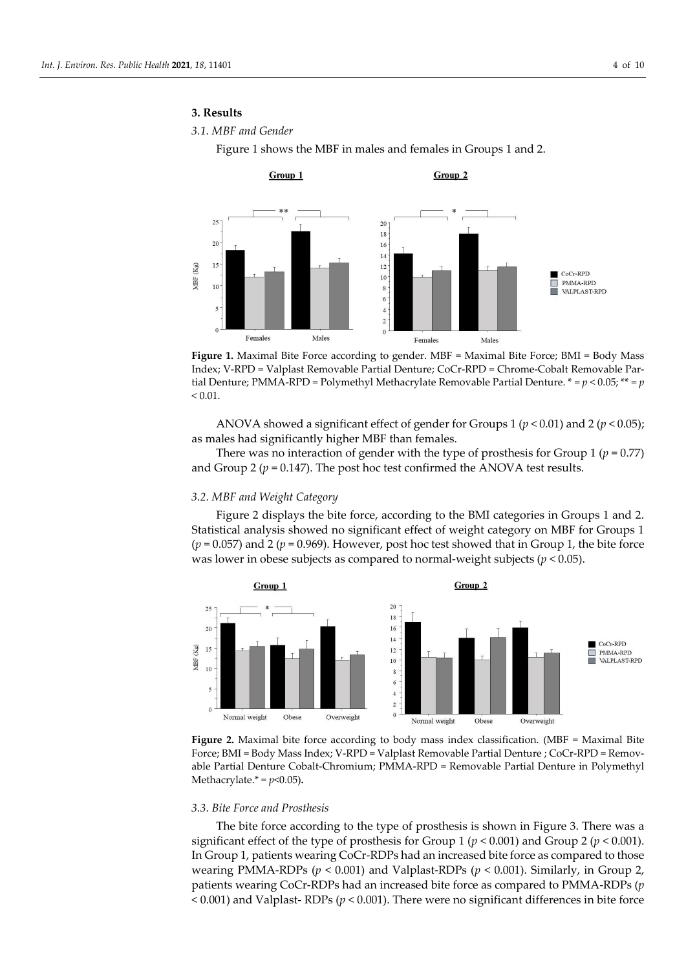## **3. Results**

## *3.1. MBF and Gender*

Figure 1 shows the MBF in males and females in Groups 1 and 2.



**Figure 1.** Maximal Bite Force according to gender. MBF = Maximal Bite Force; BMI = Body Mass Index; V-RPD = Valplast Removable Partial Denture; CoCr-RPD = Chrome-Cobalt Removable Partial Denture; PMMA-RPD = Polymethyl Methacrylate Removable Partial Denture.  $* = p < 0.05$ ;  $** = p$  $< 0.01$ .

ANOVA showed a significant effect of gender for Groups 1 (*p* < 0.01) and 2 (*p* < 0.05); as males had significantly higher MBF than females.

There was no interaction of gender with the type of prosthesis for Group 1 ( $p = 0.77$ ) and Group 2 ( $p = 0.147$ ). The post hoc test confirmed the ANOVA test results.

## *3.2. MBF and Weight Category*

Figure 2 displays the bite force, according to the BMI categories in Groups 1 and 2. Statistical analysis showed no significant effect of weight category on MBF for Groups 1  $(p = 0.057)$  and 2  $(p = 0.969)$ . However, post hoc test showed that in Group 1, the bite force was lower in obese subjects as compared to normal-weight subjects (*p* < 0.05).



**Figure 2.** Maximal bite force according to body mass index classification. (MBF = Maximal Bite Force; BMI = Body Mass Index; V-RPD = Valplast Removable Partial Denture ; CoCr-RPD = Removable Partial Denture Cobalt-Chromium; PMMA-RPD = Removable Partial Denture in Polymethyl Methacrylate.\* =  $p$ <0.05).

#### *3.3. Bite Force and Prosthesis*

The bite force according to the type of prosthesis is shown in Figure 3. There was a significant effect of the type of prosthesis for Group 1 (*p* < 0.001) and Group 2 (*p* < 0.001). In Group 1, patients wearing CoCr-RDPs had an increased bite force as compared to those wearing PMMA-RDPs (*p* < 0.001) and Valplast-RDPs (*p* < 0.001). Similarly, in Group 2, patients wearing CoCr-RDPs had an increased bite force as compared to PMMA-RDPs (*p*  < 0.001) and Valplast- RDPs (*p* < 0.001). There were no significant differences in bite force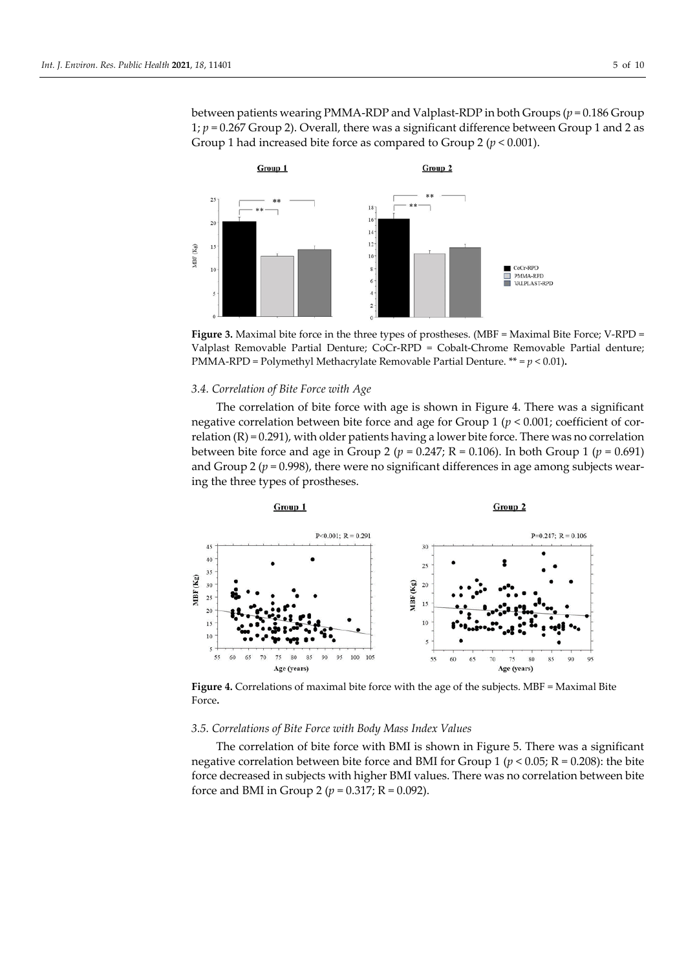between patients wearing PMMA-RDP and Valplast-RDP in both Groups (*p* = 0.186 Group 1; *p* = 0.267 Group 2). Overall, there was a significant difference between Group 1 and 2 as Group 1 had increased bite force as compared to Group 2 (*p* < 0.001).



Figure 3. Maximal bite force in the three types of prostheses. (MBF = Maximal Bite Force; V-RPD = Valplast Removable Partial Denture; CoCr-RPD = Cobalt-Chrome Removable Partial denture; PMMA-RPD = Polymethyl Methacrylate Removable Partial Denture. \*\* = *p* < 0.01)**.**

#### *3.4. Correlation of Bite Force with Age*

The correlation of bite force with age is shown in Figure 4. There was a significant negative correlation between bite force and age for Group 1 (*p* < 0.001; coefficient of correlation  $(R) = 0.291$ , with older patients having a lower bite force. There was no correlation between bite force and age in Group 2 ( $p = 0.247$ ; R = 0.106). In both Group 1 ( $p = 0.691$ ) and Group 2 ( $p = 0.998$ ), there were no significant differences in age among subjects wearing the three types of prostheses.



Figure 4. Correlations of maximal bite force with the age of the subjects. MBF = Maximal Bite Force**.**

#### *3.5. Correlations of Bite Force with Body Mass Index Values*

The correlation of bite force with BMI is shown in Figure 5. There was a significant negative correlation between bite force and BMI for Group 1 ( $p < 0.05$ ; R = 0.208): the bite force decreased in subjects with higher BMI values. There was no correlation between bite force and BMI in Group 2 ( $p = 0.317$ ; R = 0.092).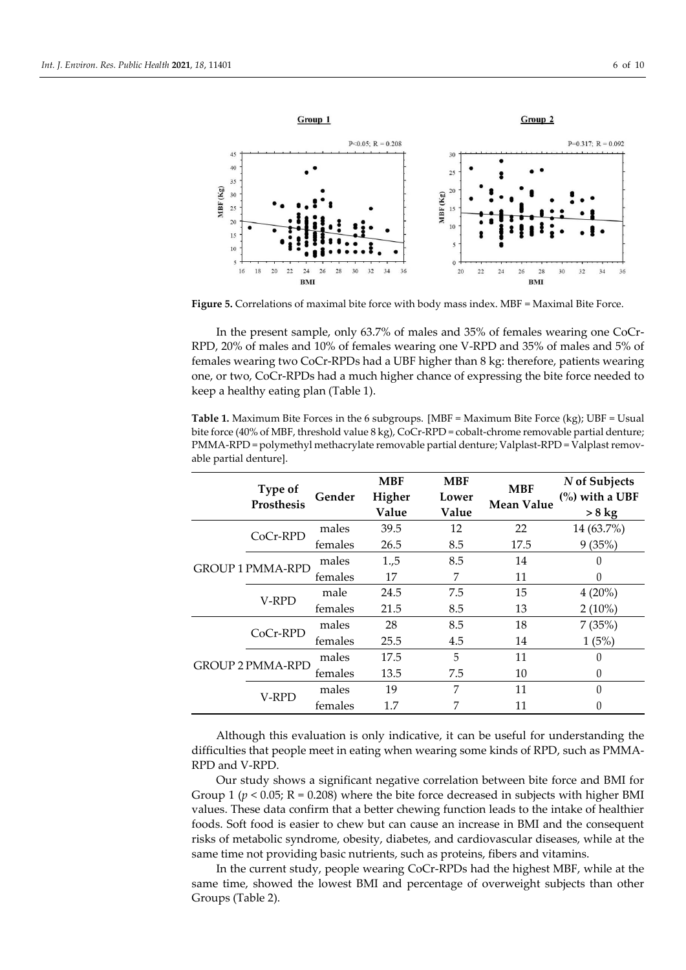

**Figure 5.** Correlations of maximal bite force with body mass index. MBF = Maximal Bite Force.

In the present sample, only 63.7% of males and 35% of females wearing one CoCr-RPD, 20% of males and 10% of females wearing one V-RPD and 35% of males and 5% of females wearing two CoCr-RPDs had a UBF higher than 8 kg: therefore, patients wearing one, or two, CoCr-RPDs had a much higher chance of expressing the bite force needed to keep a healthy eating plan (Table 1).

**Table 1.** Maximum Bite Forces in the 6 subgroups. [MBF = Maximum Bite Force (kg); UBF = Usual bite force (40% of MBF, threshold value 8 kg), CoCr-RPD = cobalt-chrome removable partial denture; PMMA-RPD = polymethyl methacrylate removable partial denture; Valplast-RPD = Valplast removable partial denture].

|  | Type of<br>Prosthesis   | Gender  | <b>MBF</b><br>Higher<br>Value | <b>MBF</b><br>Lower<br>Value | <b>MBF</b><br><b>Mean Value</b> | N of Subjects<br>$\frac{6}{6}$ with a UBF<br>$> 8$ kg |
|--|-------------------------|---------|-------------------------------|------------------------------|---------------------------------|-------------------------------------------------------|
|  | CoCr-RPD                | males   | 39.5                          | 12                           | 22                              | 14 (63.7%)                                            |
|  |                         | females | 26.5                          | 8.5                          | 17.5                            | 9(35%)                                                |
|  | <b>GROUP 1 PMMA-RPD</b> | males   | 1.,5                          | 8.5                          | 14                              |                                                       |
|  |                         | females | 17                            | 7                            | 11                              | 0                                                     |
|  | V-RPD                   | male    | 24.5                          | 7.5                          | 15                              | $4(20\%)$                                             |
|  |                         | females | 21.5                          | 8.5                          | 13                              | $2(10\%)$                                             |
|  | $CoCr-RPD$              | males   | 28                            | 8.5                          | 18                              | 7(35%)                                                |
|  |                         | females | 25.5                          | 4.5                          | 14                              | 1(5%)                                                 |
|  | <b>GROUP 2 PMMA-RPD</b> | males   | 17.5                          | 5                            | 11                              | 0                                                     |
|  |                         | females | 13.5                          | 7.5                          | 10                              | $\Omega$                                              |
|  | V-RPD                   | males   | 19                            | 7                            | 11                              | $\Omega$                                              |
|  |                         | females | 1.7                           | 7                            | 11                              |                                                       |

Although this evaluation is only indicative, it can be useful for understanding the difficulties that people meet in eating when wearing some kinds of RPD, such as PMMA-RPD and V-RPD.

Our study shows a significant negative correlation between bite force and BMI for Group 1 ( $p < 0.05$ ; R = 0.208) where the bite force decreased in subjects with higher BMI values. These data confirm that a better chewing function leads to the intake of healthier foods. Soft food is easier to chew but can cause an increase in BMI and the consequent risks of metabolic syndrome, obesity, diabetes, and cardiovascular diseases, while at the same time not providing basic nutrients, such as proteins, fibers and vitamins.

In the current study, people wearing CoCr-RPDs had the highest MBF, while at the same time, showed the lowest BMI and percentage of overweight subjects than other Groups (Table 2).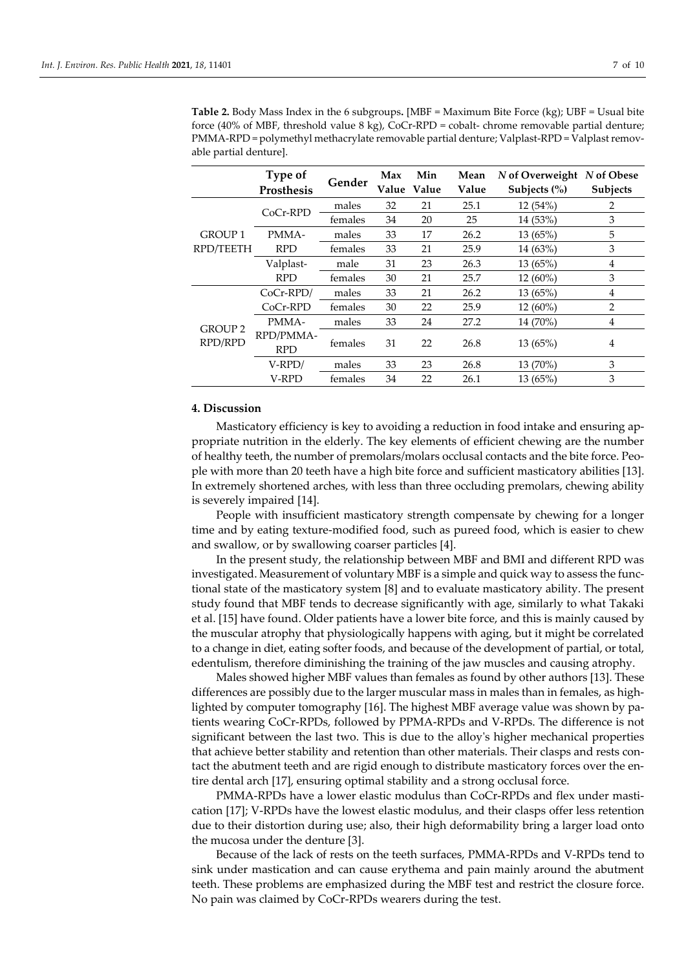|                           | Type of<br><b>Prosthesis</b> | Gender  | Max | Min<br>Value Value | Mean<br>Value | N of Overweight<br>Subjects $(\% )$ | N of Obese<br><b>Subjects</b> |
|---------------------------|------------------------------|---------|-----|--------------------|---------------|-------------------------------------|-------------------------------|
|                           | CoCr-RPD                     | males   | 32  | 21                 | 25.1          | 12(54%)                             | 2                             |
|                           |                              | females | 34  | 20                 | 25            | 14 (53%)                            | 3                             |
| <b>GROUP1</b>             | PMMA-                        | males   | 33  | 17                 | 26.2          | 13 (65%)                            | 5                             |
| RPD/TEETH                 | <b>RPD</b>                   | females | 33  | 21                 | 25.9          | 14 (63%)                            | 3                             |
|                           | Valplast-                    | male    | 31  | 23                 | 26.3          | 13 (65%)                            | 4                             |
|                           | <b>RPD</b>                   | females | 30  | 21                 | 25.7          | 12 (60%)                            | 3                             |
| <b>GROUP 2</b><br>RPD/RPD | $CoCr-RPD/$                  | males   | 33  | 21                 | 26.2          | 13 (65%)                            | 4                             |
|                           | CoCr-RPD                     | females | 30  | 22                 | 25.9          | $12(60\%)$                          | $\overline{2}$                |
|                           | PMMA-                        | males   | 33  | 24                 | 27.2          | 14 (70%)                            | 4                             |
|                           | RPD/PMMA-<br><b>RPD</b>      | females | 31  | 22                 | 26.8          | 13(65%)                             | $\overline{4}$                |
|                           | V-RPD/                       | males   | 33  | 23                 | 26.8          | 13 (70%)                            | 3                             |
|                           | V-RPD                        | females | 34  | 22                 | 26.1          | 13 (65%)                            | 3                             |

**Table 2.** Body Mass Index in the 6 subgroups**.** [MBF = Maximum Bite Force (kg); UBF = Usual bite force (40% of MBF, threshold value  $8 \text{ kg}$ ), CoCr-RPD = cobalt- chrome removable partial denture; PMMA-RPD = polymethyl methacrylate removable partial denture; Valplast-RPD = Valplast removable partial denture].

## **4. Discussion**

Masticatory efficiency is key to avoiding a reduction in food intake and ensuring appropriate nutrition in the elderly. The key elements of efficient chewing are the number of healthy teeth, the number of premolars/molars occlusal contacts and the bite force. People with more than 20 teeth have a high bite force and sufficient masticatory abilities [13]. In extremely shortened arches, with less than three occluding premolars, chewing ability is severely impaired [14].

People with insufficient masticatory strength compensate by chewing for a longer time and by eating texture-modified food, such as pureed food, which is easier to chew and swallow, or by swallowing coarser particles [4].

In the present study, the relationship between MBF and BMI and different RPD was investigated. Measurement of voluntary MBF is a simple and quick way to assess the functional state of the masticatory system [8] and to evaluate masticatory ability. The present study found that MBF tends to decrease significantly with age, similarly to what Takaki et al. [15] have found. Older patients have a lower bite force, and this is mainly caused by the muscular atrophy that physiologically happens with aging, but it might be correlated to a change in diet, eating softer foods, and because of the development of partial, or total, edentulism, therefore diminishing the training of the jaw muscles and causing atrophy.

Males showed higher MBF values than females as found by other authors [13]. These differences are possibly due to the larger muscular mass in males than in females, as highlighted by computer tomography [16]. The highest MBF average value was shown by patients wearing CoCr-RPDs, followed by PPMA-RPDs and V-RPDs. The difference is not significant between the last two. This is due to the alloy's higher mechanical properties that achieve better stability and retention than other materials. Their clasps and rests contact the abutment teeth and are rigid enough to distribute masticatory forces over the entire dental arch [17], ensuring optimal stability and a strong occlusal force.

PMMA-RPDs have a lower elastic modulus than CoCr-RPDs and flex under mastication [17]; V-RPDs have the lowest elastic modulus, and their clasps offer less retention due to their distortion during use; also, their high deformability bring a larger load onto the mucosa under the denture [3].

Because of the lack of rests on the teeth surfaces, PMMA-RPDs and V-RPDs tend to sink under mastication and can cause erythema and pain mainly around the abutment teeth. These problems are emphasized during the MBF test and restrict the closure force. No pain was claimed by CoCr-RPDs wearers during the test.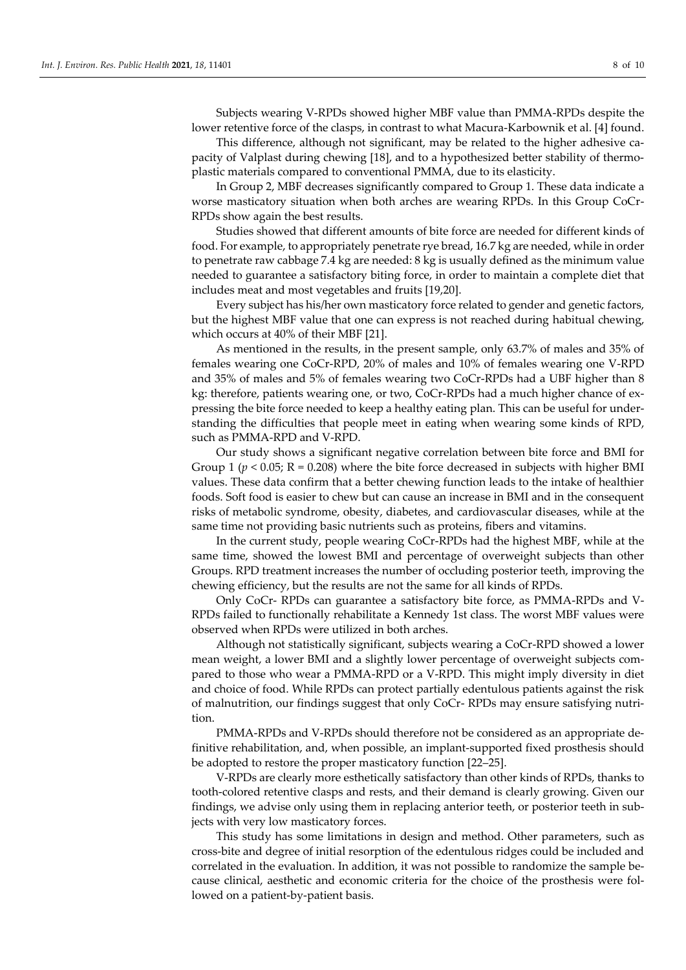Subjects wearing V-RPDs showed higher MBF value than PMMA-RPDs despite the lower retentive force of the clasps, in contrast to what Macura-Karbownik et al. [4] found.

This difference, although not significant, may be related to the higher adhesive capacity of Valplast during chewing [18], and to a hypothesized better stability of thermoplastic materials compared to conventional PMMA, due to its elasticity.

In Group 2, MBF decreases significantly compared to Group 1. These data indicate a worse masticatory situation when both arches are wearing RPDs. In this Group CoCr-RPDs show again the best results.

Studies showed that different amounts of bite force are needed for different kinds of food. For example, to appropriately penetrate rye bread, 16.7 kg are needed, while in order to penetrate raw cabbage 7.4 kg are needed: 8 kg is usually defined as the minimum value needed to guarantee a satisfactory biting force, in order to maintain a complete diet that includes meat and most vegetables and fruits [19,20].

Every subject has his/her own masticatory force related to gender and genetic factors, but the highest MBF value that one can express is not reached during habitual chewing, which occurs at 40% of their MBF [21].

As mentioned in the results, in the present sample, only 63.7% of males and 35% of females wearing one CoCr-RPD, 20% of males and 10% of females wearing one V-RPD and 35% of males and 5% of females wearing two CoCr-RPDs had a UBF higher than 8 kg: therefore, patients wearing one, or two, CoCr-RPDs had a much higher chance of expressing the bite force needed to keep a healthy eating plan. This can be useful for understanding the difficulties that people meet in eating when wearing some kinds of RPD, such as PMMA-RPD and V-RPD.

Our study shows a significant negative correlation between bite force and BMI for Group 1 (*p* < 0.05; R = 0.208) where the bite force decreased in subjects with higher BMI values. These data confirm that a better chewing function leads to the intake of healthier foods. Soft food is easier to chew but can cause an increase in BMI and in the consequent risks of metabolic syndrome, obesity, diabetes, and cardiovascular diseases, while at the same time not providing basic nutrients such as proteins, fibers and vitamins.

In the current study, people wearing CoCr-RPDs had the highest MBF, while at the same time, showed the lowest BMI and percentage of overweight subjects than other Groups. RPD treatment increases the number of occluding posterior teeth, improving the chewing efficiency, but the results are not the same for all kinds of RPDs.

Only CoCr- RPDs can guarantee a satisfactory bite force, as PMMA-RPDs and V-RPDs failed to functionally rehabilitate a Kennedy 1st class. The worst MBF values were observed when RPDs were utilized in both arches.

Although not statistically significant, subjects wearing a CoCr-RPD showed a lower mean weight, a lower BMI and a slightly lower percentage of overweight subjects compared to those who wear a PMMA-RPD or a V-RPD. This might imply diversity in diet and choice of food. While RPDs can protect partially edentulous patients against the risk of malnutrition, our findings suggest that only CoCr- RPDs may ensure satisfying nutrition.

PMMA-RPDs and V-RPDs should therefore not be considered as an appropriate definitive rehabilitation, and, when possible, an implant-supported fixed prosthesis should be adopted to restore the proper masticatory function [22–25].

V-RPDs are clearly more esthetically satisfactory than other kinds of RPDs, thanks to tooth-colored retentive clasps and rests, and their demand is clearly growing. Given our findings, we advise only using them in replacing anterior teeth, or posterior teeth in subjects with very low masticatory forces.

This study has some limitations in design and method. Other parameters, such as cross-bite and degree of initial resorption of the edentulous ridges could be included and correlated in the evaluation. In addition, it was not possible to randomize the sample because clinical, aesthetic and economic criteria for the choice of the prosthesis were followed on a patient-by-patient basis.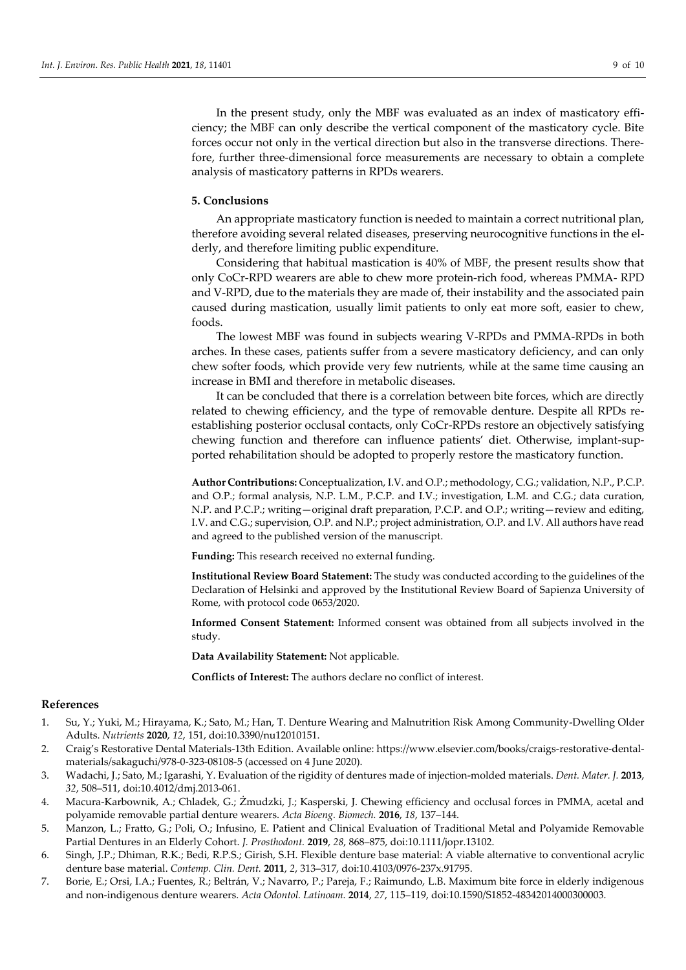In the present study, only the MBF was evaluated as an index of masticatory efficiency; the MBF can only describe the vertical component of the masticatory cycle. Bite forces occur not only in the vertical direction but also in the transverse directions. Therefore, further three-dimensional force measurements are necessary to obtain a complete analysis of masticatory patterns in RPDs wearers.

#### **5. Conclusions**

An appropriate masticatory function is needed to maintain a correct nutritional plan, therefore avoiding several related diseases, preserving neurocognitive functions in the elderly, and therefore limiting public expenditure.

Considering that habitual mastication is 40% of MBF, the present results show that only CoCr-RPD wearers are able to chew more protein-rich food, whereas PMMA- RPD and V-RPD, due to the materials they are made of, their instability and the associated pain caused during mastication, usually limit patients to only eat more soft, easier to chew, foods.

The lowest MBF was found in subjects wearing V-RPDs and PMMA-RPDs in both arches. In these cases, patients suffer from a severe masticatory deficiency, and can only chew softer foods, which provide very few nutrients, while at the same time causing an increase in BMI and therefore in metabolic diseases.

It can be concluded that there is a correlation between bite forces, which are directly related to chewing efficiency, and the type of removable denture. Despite all RPDs reestablishing posterior occlusal contacts, only CoCr-RPDs restore an objectively satisfying chewing function and therefore can influence patients' diet. Otherwise, implant-supported rehabilitation should be adopted to properly restore the masticatory function.

**Author Contributions:** Conceptualization, I.V. and O.P.; methodology, C.G.; validation, N.P., P.C.P. and O.P.; formal analysis, N.P. L.M., P.C.P. and I.V.; investigation, L.M. and C.G.; data curation, N.P. and P.C.P.; writing—original draft preparation, P.C.P. and O.P.; writing—review and editing, I.V. and C.G.; supervision, O.P. and N.P.; project administration, O.P. and I.V. All authors have read and agreed to the published version of the manuscript.

**Funding:** This research received no external funding.

**Institutional Review Board Statement:** The study was conducted according to the guidelines of the Declaration of Helsinki and approved by the Institutional Review Board of Sapienza University of Rome, with protocol code 0653/2020.

**Informed Consent Statement:** Informed consent was obtained from all subjects involved in the study.

**Data Availability Statement:** Not applicable.

**Conflicts of Interest:** The authors declare no conflict of interest.

## **References**

- 1. Su, Y.; Yuki, M.; Hirayama, K.; Sato, M.; Han, T. Denture Wearing and Malnutrition Risk Among Community-Dwelling Older Adults. *Nutrients* **2020**, *12*, 151, doi:10.3390/nu12010151.
- 2. Craig's Restorative Dental Materials-13th Edition. Available online: https://www.elsevier.com/books/craigs-restorative-dentalmaterials/sakaguchi/978-0-323-08108-5 (accessed on 4 June 2020).
- 3. Wadachi, J.; Sato, M.; Igarashi, Y. Evaluation of the rigidity of dentures made of injection-molded materials. *Dent. Mater. J.* **2013**, *32*, 508–511, doi:10.4012/dmj.2013-061.
- 4. Macura-Karbownik, A.; Chladek, G.; Żmudzki, J.; Kasperski, J. Chewing efficiency and occlusal forces in PMMA, acetal and polyamide removable partial denture wearers. *Acta Bioeng. Biomech.* **2016**, *18*, 137–144.
- 5. Manzon, L.; Fratto, G.; Poli, O.; Infusino, E. Patient and Clinical Evaluation of Traditional Metal and Polyamide Removable Partial Dentures in an Elderly Cohort. *J. Prosthodont.* **2019**, *28*, 868–875, doi:10.1111/jopr.13102.
- 6. Singh, J.P.; Dhiman, R.K.; Bedi, R.P.S.; Girish, S.H. Flexible denture base material: A viable alternative to conventional acrylic denture base material. *Contemp. Clin. Dent.* **2011**, *2*, 313–317, doi:10.4103/0976-237x.91795.
- 7. Borie, E.; Orsi, I.A.; Fuentes, R.; Beltrán, V.; Navarro, P.; Pareja, F.; Raimundo, L.B. Maximum bite force in elderly indigenous and non-indigenous denture wearers. *Acta Odontol. Latinoam.* **2014**, *27*, 115–119, doi:10.1590/S1852-48342014000300003.